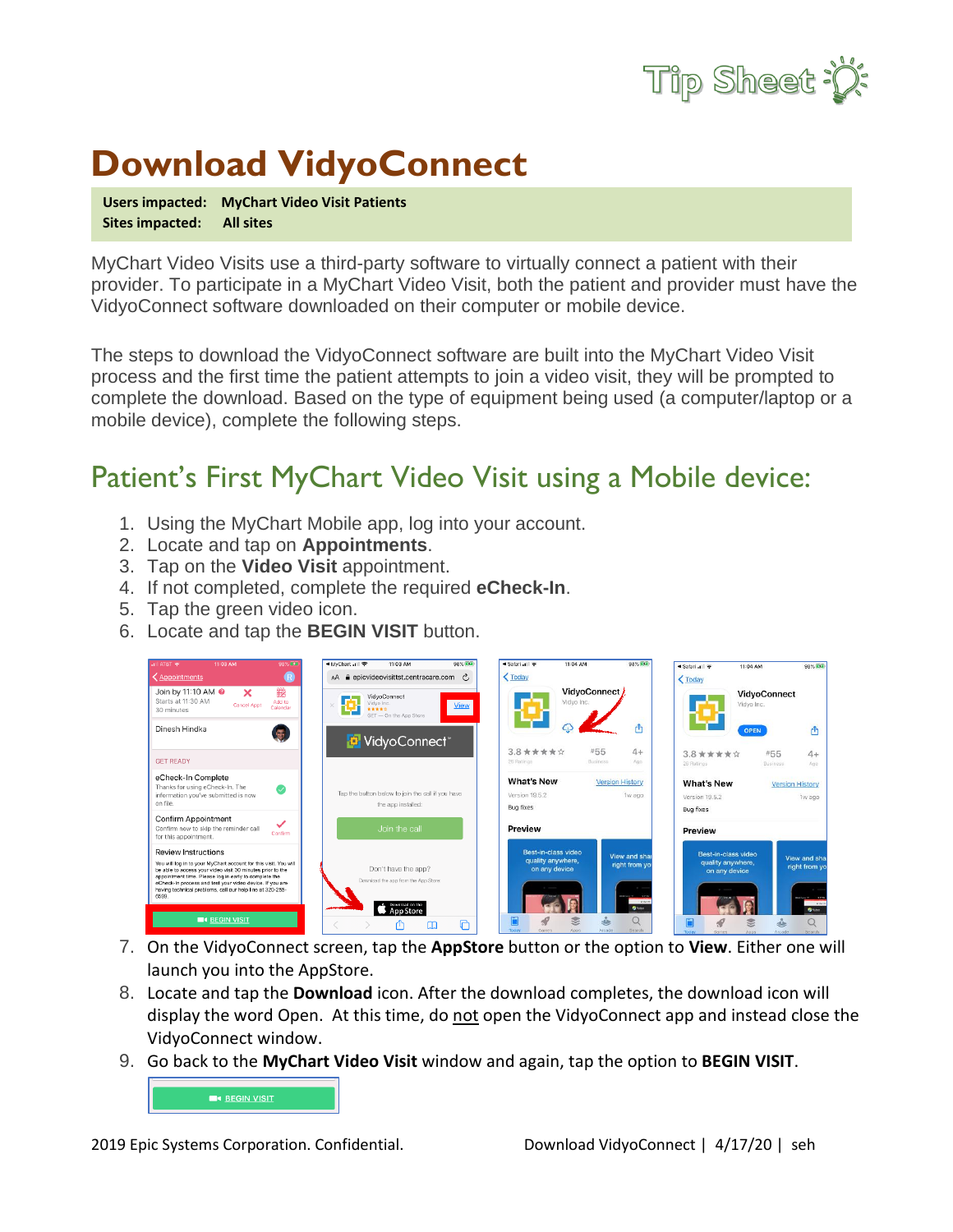

## **Download VidyoConnect**

**Users impacted: MyChart Video Visit Patients Sites impacted: All sites**

MyChart Video Visits use a third-party software to virtually connect a patient with their provider. To participate in a MyChart Video Visit, both the patient and provider must have the VidyoConnect software downloaded on their computer or mobile device.

The steps to download the VidyoConnect software are built into the MyChart Video Visit process and the first time the patient attempts to join a video visit, they will be prompted to complete the download. Based on the type of equipment being used (a computer/laptop or a mobile device), complete the following steps.

## Patient's First MyChart Video Visit using a Mobile device:

- 1. Using the MyChart Mobile app, log into your account.
- 2. Locate and tap on **Appointments**.
- 3. Tap on the **Video Visit** appointment.
- 4. If not completed, complete the required **eCheck-In**.
- 5. Tap the green video icon.
- 6. Locate and tap the **BEGIN VISIT** button.



- 7. On the VidyoConnect screen, tap the **AppStore** button or the option to **View**. Either one will launch you into the AppStore.
- 8. Locate and tap the **Download** icon. After the download completes, the download icon will display the word Open. At this time, do not open the VidyoConnect app and instead close the VidyoConnect window.
- 9. Go back to the **MyChart Video Visit** window and again, tap the option to **BEGIN VISIT**.

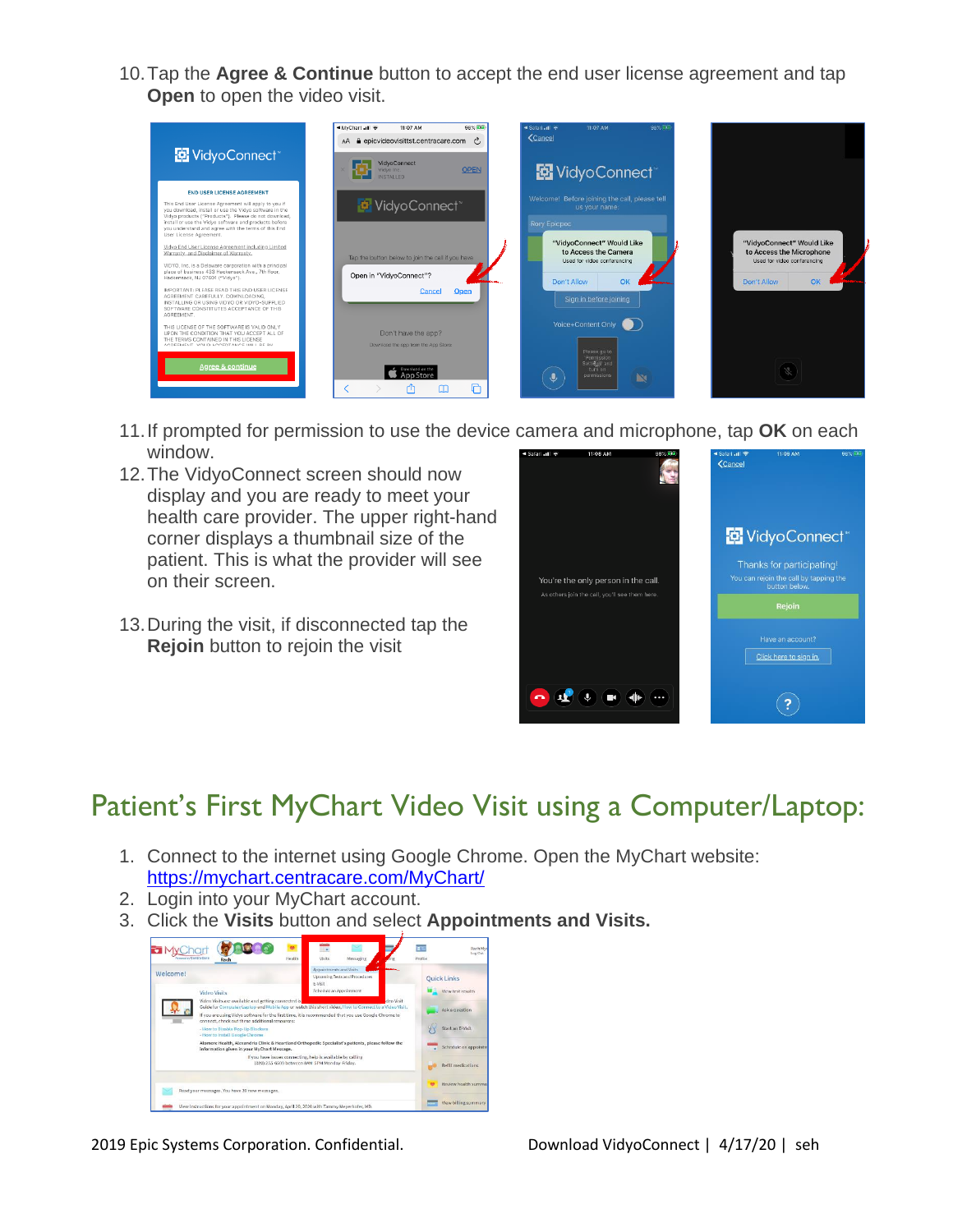10.Tap the **Agree & Continue** button to accept the end user license agreement and tap **Open** to open the video visit.



- 11.If prompted for permission to use the device camera and microphone, tap **OK** on each window.
- 12.The VidyoConnect screen should now display and you are ready to meet your health care provider. The upper right-hand corner displays a thumbnail size of the patient. This is what the provider will see on their screen.
- 13.During the visit, if disconnected tap the **Rejoin** button to rejoin the visit



## Patient's First MyChart Video Visit using a Computer/Laptop:

- 1. Connect to the internet using Google Chrome. Open the MyChart website: <https://mychart.centracare.com/MyChart/>
- 2. Login into your MyChart account.
- 3. Click the **Visits** button and select **Appointments and Visits.**



2019 Epic Systems Corporation. Confidential. Download VidyoConnect | 4/17/20 | seh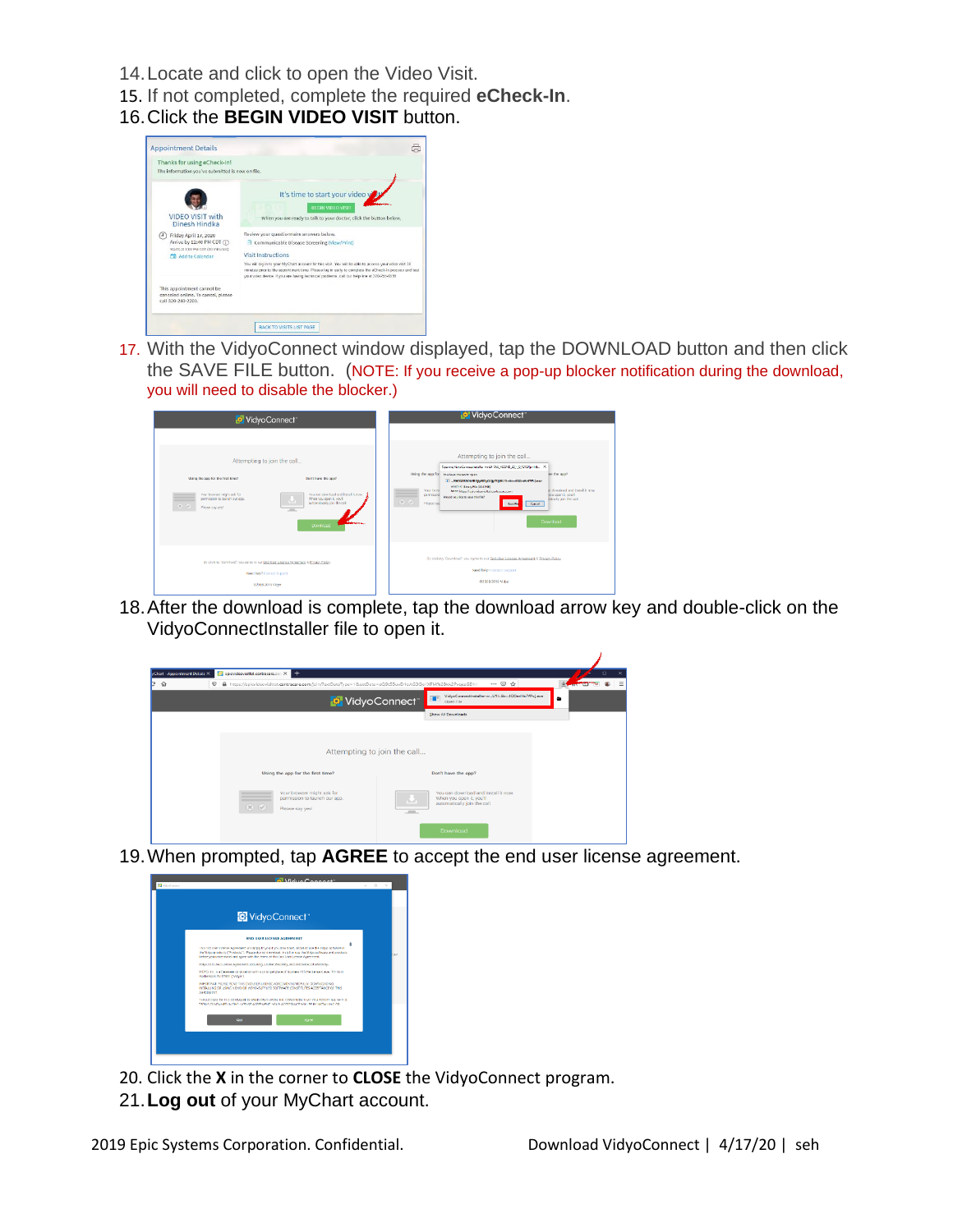- 14.Locate and click to open the Video Visit.
- 15. If not completed, complete the required **eCheck-In**.
- 16.Click the **BEGIN VIDEO VISIT** button.



17. With the VidyoConnect window displayed, tap the DOWNLOAD button and then click the SAVE FILE button. (NOTE: If you receive a pop-up blocker notification during the download, you will need to disable the blocker.)

| VidyoConnect                                                                                                                                   |                                                                                                                                                                               | <b>Pr</b> VidyoConnect                                                                                                                                                                                                                                                                                                                                                                                                                                                                                                             |
|------------------------------------------------------------------------------------------------------------------------------------------------|-------------------------------------------------------------------------------------------------------------------------------------------------------------------------------|------------------------------------------------------------------------------------------------------------------------------------------------------------------------------------------------------------------------------------------------------------------------------------------------------------------------------------------------------------------------------------------------------------------------------------------------------------------------------------------------------------------------------------|
| Using the app for the first time?<br>Your browner might ank for<br>__<br>permission to launch our eac.<br>$\infty$ $\infty$<br>Please car year | Attempting to join the call<br>Don't have the app?<br>You can download and install it cow.<br>When you coan it you'll<br>м<br>automatically join the call.<br>$-$<br>Download | Attempting to join the call<br>Opening VideoCommastmate for winds TAG_VCOND_20_1_0_13159(p=14), X<br>Using the app for Neubour chosen to open:<br>we the arm?<br>E  EMODIESCASECULARD, QUI, TUBGU11-&r=4QOmHcTfPcLose<br>which is Binary File (SGSME)<br>were til boost less hadework re-<br>Your brown<br>term htms://pic/domistic.ordovarusers<br>you open it you'll<br>permission<br>Would you like to severthe file?<br>etically join the call.<br>$\mathbb{R}$ $\mathbb{Q}$<br>Please sat<br>Sere Fix<br>Cancel .<br>Download |
| By clicking "Download", you agree to our Englisher License Agreement & Privacy Palicy.<br>Need help? Contact Support<br>\$52008-0019 1650      |                                                                                                                                                                               | By clicking "Download", you agree to cur End-User License Accesment & Privacy Police<br><b>Reed help?</b> Control Support<br>02009-2019 Vidvo                                                                                                                                                                                                                                                                                                                                                                                      |

18.After the download is complete, tap the download arrow key and double-click on the VidyoConnectInstaller file to open it.



19.When prompted, tap **AGREE** to accept the end user license agreement.



- 20. Click the **X** in the corner to **CLOSE** the VidyoConnect program.
- 21.**Log out** of your MyChart account.